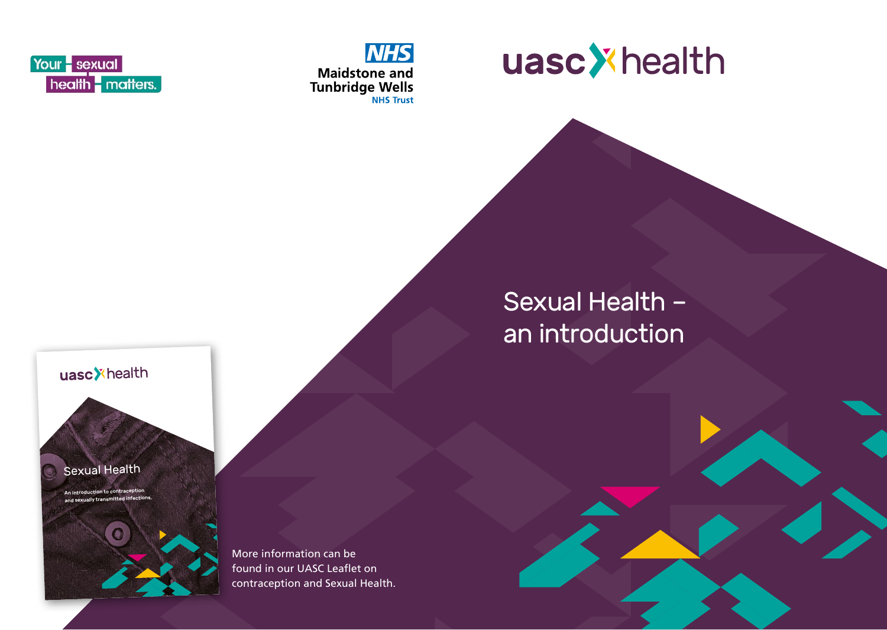





uasc<sup>y</sup>health

Your - sexual

health matters.

Sexual Health Auction to contrac and sexually transmitted in



More information can be found in our UASC Leaflet on contraception and Sexual Health.